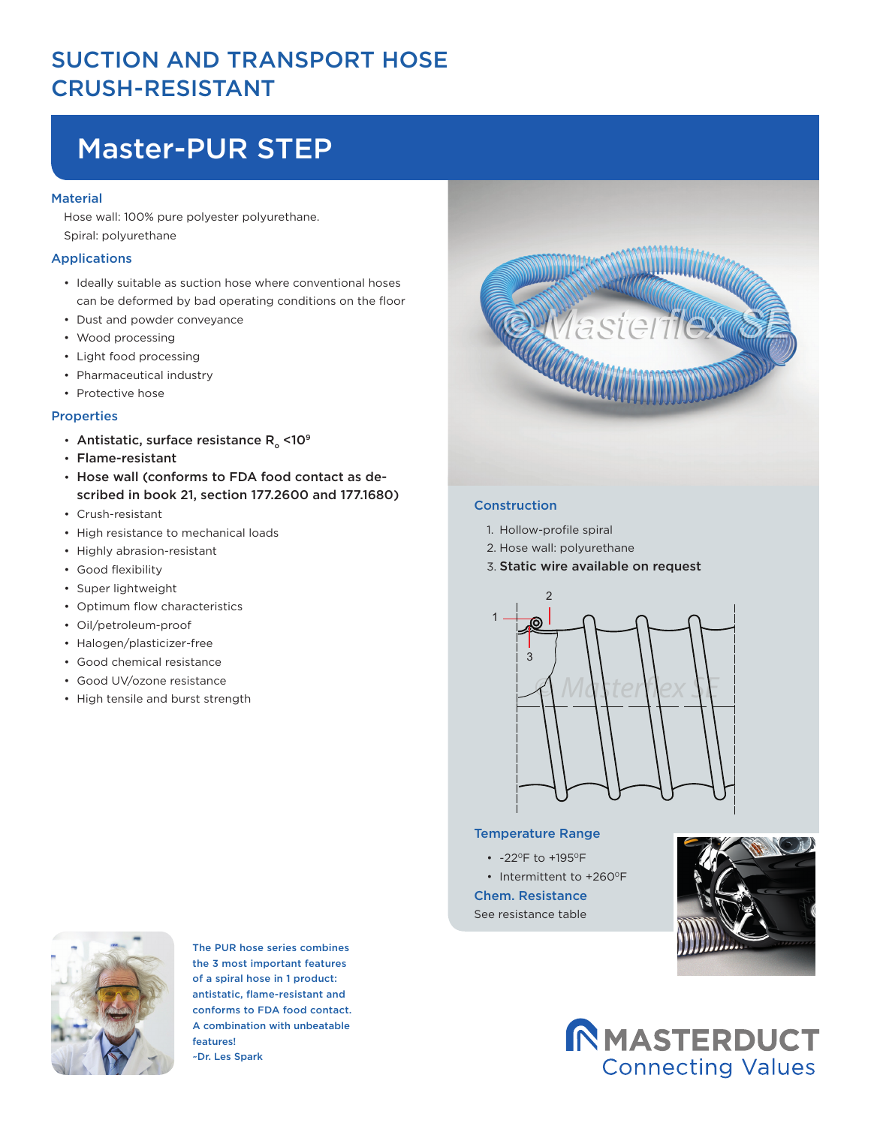### SUCTION AND TRANSPORT HOSE CRUSH-RESISTANT

# Master-PUR STEP

#### **Material**

Hose wall: 100% pure polyester polyurethane. Spiral: polyurethane

#### Applications

- Ideally suitable as suction hose where conventional hoses can be deformed by bad operating conditions on the floor
- Dust and powder conveyance
- Wood processing
- Light food processing
- Pharmaceutical industry
- Protective hose

#### Properties

- Antistatic, surface resistance  $R_{\alpha}$  <10<sup>9</sup>
- Flame-resistant
- Hose wall (conforms to FDA food contact as described in book 21, section 177.2600 and 177.1680)
- Crush-resistant
- High resistance to mechanical loads
- Highly abrasion-resistant
- Good flexibility
- Super lightweight
- Optimum flow characteristics
- Oil/petroleum-proof
- Halogen/plasticizer-free
- Good chemical resistance
- Good UV/ozone resistance
- High tensile and burst strength



The PUR hose series combines the 3 most important features of a spiral hose in 1 product: antistatic, flame-resistant and conforms to FDA food contact. A combination with unbeatable features! ~Dr. Les Spark



#### Construction

- 1. Hollow-profile spiral
- 2. Hose wall: polyurethane
- 3. Static wire available on request



#### Temperature Range

- -22°F to +195°F
- Intermittent to +260°F

Chem. Resistance See resistance table